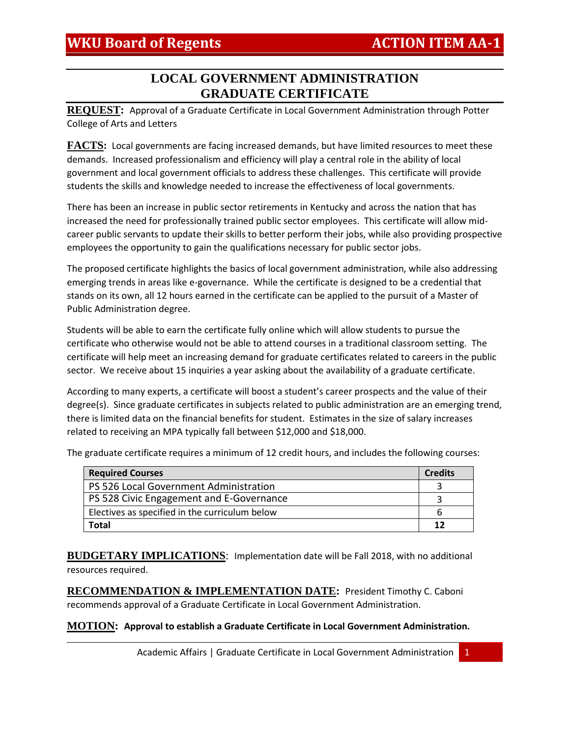# **LOCAL GOVERNMENT ADMINISTRATION GRADUATE CERTIFICATE**

**REQUEST:** Approval of a Graduate Certificate in Local Government Administration through Potter College of Arts and Letters

**FACTS:** Local governments are facing increased demands, but have limited resources to meet these demands. Increased professionalism and efficiency will play a central role in the ability of local government and local government officials to address these challenges. This certificate will provide students the skills and knowledge needed to increase the effectiveness of local governments.

There has been an increase in public sector retirements in Kentucky and across the nation that has increased the need for professionally trained public sector employees. This certificate will allow midcareer public servants to update their skills to better perform their jobs, while also providing prospective employees the opportunity to gain the qualifications necessary for public sector jobs.

The proposed certificate highlights the basics of local government administration, while also addressing emerging trends in areas like e-governance. While the certificate is designed to be a credential that stands on its own, all 12 hours earned in the certificate can be applied to the pursuit of a Master of Public Administration degree.

Students will be able to earn the certificate fully online which will allow students to pursue the certificate who otherwise would not be able to attend courses in a traditional classroom setting. The certificate will help meet an increasing demand for graduate certificates related to careers in the public sector. We receive about 15 inquiries a year asking about the availability of a graduate certificate.

According to many experts, a certificate will boost a student's career prospects and the value of their degree(s). Since graduate certificates in subjects related to public administration are an emerging trend, there is limited data on the financial benefits for student. Estimates in the size of salary increases related to receiving an MPA typically fall between \$12,000 and \$18,000.

The graduate certificate requires a minimum of 12 credit hours, and includes the following courses:

| <b>Required Courses</b>                        | <b>Credits</b> |
|------------------------------------------------|----------------|
| PS 526 Local Government Administration         |                |
| PS 528 Civic Engagement and E-Governance       |                |
| Electives as specified in the curriculum below | b              |
| Total                                          | 12             |

**BUDGETARY IMPLICATIONS**: Implementation date will be Fall 2018, with no additional resources required.

**RECOMMENDATION & IMPLEMENTATION DATE:** President Timothy C. Caboni recommends approval of a Graduate Certificate in Local Government Administration.

**MOTION: Approval to establish a Graduate Certificate in Local Government Administration.**

Academic Affairs | Graduate Certificate in Local Government Administration | 1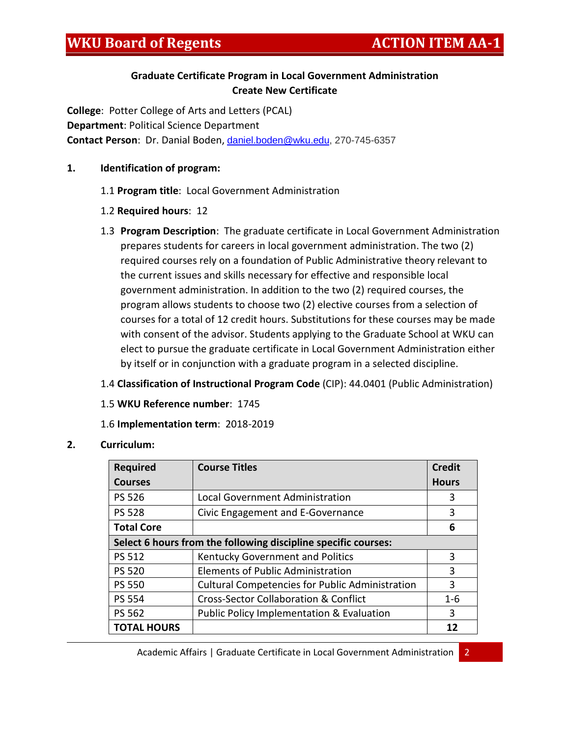# **Graduate Certificate Program in Local Government Administration Create New Certificate**

**College**: Potter College of Arts and Letters (PCAL) **Department**: Political Science Department **Contact Person**: Dr. Danial Boden, [daniel.boden@wku.edu,](mailto:daniel.boden@wku.edu) 270-745-6357

## **1. Identification of program:**

- 1.1 **Program title**: Local Government Administration
- 1.2 **Required hours**: 12
- 1.3 **Program Description**: The graduate certificate in Local Government Administration prepares students for careers in local government administration. The two (2) required courses rely on a foundation of Public Administrative theory relevant to the current issues and skills necessary for effective and responsible local government administration. In addition to the two (2) required courses, the program allows students to choose two (2) elective courses from a selection of courses for a total of 12 credit hours. Substitutions for these courses may be made with consent of the advisor. Students applying to the Graduate School at WKU can elect to pursue the graduate certificate in Local Government Administration either by itself or in conjunction with a graduate program in a selected discipline.

# 1.4 **Classification of Instructional Program Code** (CIP): 44.0401 (Public Administration)

1.5 **WKU Reference number**: 1745

# 1.6 **Implementation term**: 2018-2019

## **2. Curriculum:**

| <b>Required</b>                                                | <b>Course Titles</b>                                   | <b>Credit</b> |
|----------------------------------------------------------------|--------------------------------------------------------|---------------|
| <b>Courses</b>                                                 |                                                        | <b>Hours</b>  |
| <b>PS 526</b>                                                  | <b>Local Government Administration</b>                 | 3             |
| <b>PS 528</b>                                                  | Civic Engagement and E-Governance                      | 3             |
| <b>Total Core</b>                                              |                                                        | 6             |
| Select 6 hours from the following discipline specific courses: |                                                        |               |
| <b>PS 512</b>                                                  | Kentucky Government and Politics                       | 3             |
| <b>PS 520</b>                                                  | Elements of Public Administration                      | 3             |
| <b>PS 550</b>                                                  | <b>Cultural Competencies for Public Administration</b> | 3             |
| <b>PS 554</b>                                                  | <b>Cross-Sector Collaboration &amp; Conflict</b>       | $1 - 6$       |
| <b>PS 562</b>                                                  | <b>Public Policy Implementation &amp; Evaluation</b>   | 3             |
| <b>TOTAL HOURS</b>                                             |                                                        | 12            |

Academic Affairs | Graduate Certificate in Local Government Administration 2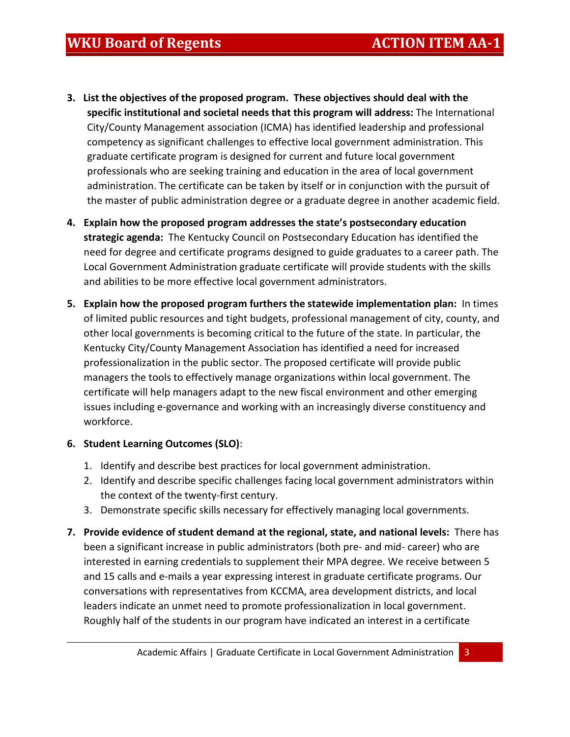- **3. List the objectives of the proposed program. These objectives should deal with the specific institutional and societal needs that this program will address:** The International City/County Management association (ICMA) has identified leadership and professional competency as significant challenges to effective local government administration. This graduate certificate program is designed for current and future local government professionals who are seeking training and education in the area of local government administration. The certificate can be taken by itself or in conjunction with the pursuit of the master of public administration degree or a graduate degree in another academic field.
- **4. Explain how the proposed program addresses the state's postsecondary education strategic agenda:** The Kentucky Council on Postsecondary Education has identified the need for degree and certificate programs designed to guide graduates to a career path. The Local Government Administration graduate certificate will provide students with the skills and abilities to be more effective local government administrators.
- **5. Explain how the proposed program furthers the statewide implementation plan:** In times of limited public resources and tight budgets, professional management of city, county, and other local governments is becoming critical to the future of the state. In particular, the Kentucky City/County Management Association has identified a need for increased professionalization in the public sector. The proposed certificate will provide public managers the tools to effectively manage organizations within local government. The certificate will help managers adapt to the new fiscal environment and other emerging issues including e-governance and working with an increasingly diverse constituency and workforce.

# **6. Student Learning Outcomes (SLO)**:

- 1. Identify and describe best practices for local government administration.
- 2. Identify and describe specific challenges facing local government administrators within the context of the twenty-first century.
- 3. Demonstrate specific skills necessary for effectively managing local governments.
- **7. Provide evidence of student demand at the regional, state, and national levels:** There has been a significant increase in public administrators (both pre- and mid- career) who are interested in earning credentials to supplement their MPA degree. We receive between 5 and 15 calls and e-mails a year expressing interest in graduate certificate programs. Our conversations with representatives from KCCMA, area development districts, and local leaders indicate an unmet need to promote professionalization in local government. Roughly half of the students in our program have indicated an interest in a certificate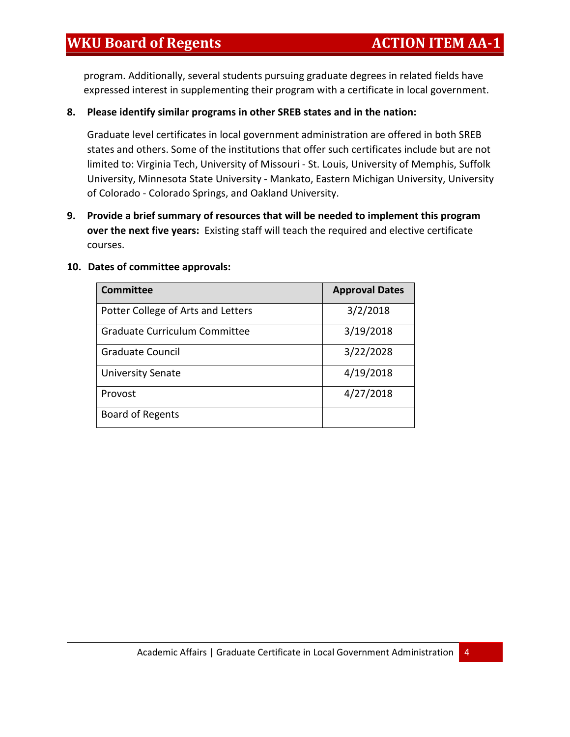program. Additionally, several students pursuing graduate degrees in related fields have expressed interest in supplementing their program with a certificate in local government.

## **8. Please identify similar programs in other SREB states and in the nation:**

Graduate level certificates in local government administration are offered in both SREB states and others. Some of the institutions that offer such certificates include but are not limited to: Virginia Tech, University of Missouri - St. Louis, University of Memphis, Suffolk University, Minnesota State University - Mankato, Eastern Michigan University, University of Colorado - Colorado Springs, and Oakland University.

**9. Provide a brief summary of resources that will be needed to implement this program over the next five years:** Existing staff will teach the required and elective certificate courses.

| <b>Committee</b>                     | <b>Approval Dates</b> |
|--------------------------------------|-----------------------|
| Potter College of Arts and Letters   | 3/2/2018              |
| <b>Graduate Curriculum Committee</b> | 3/19/2018             |
| <b>Graduate Council</b>              | 3/22/2028             |
| <b>University Senate</b>             | 4/19/2018             |
| Provost                              | 4/27/2018             |
| <b>Board of Regents</b>              |                       |

### **10. Dates of committee approvals:**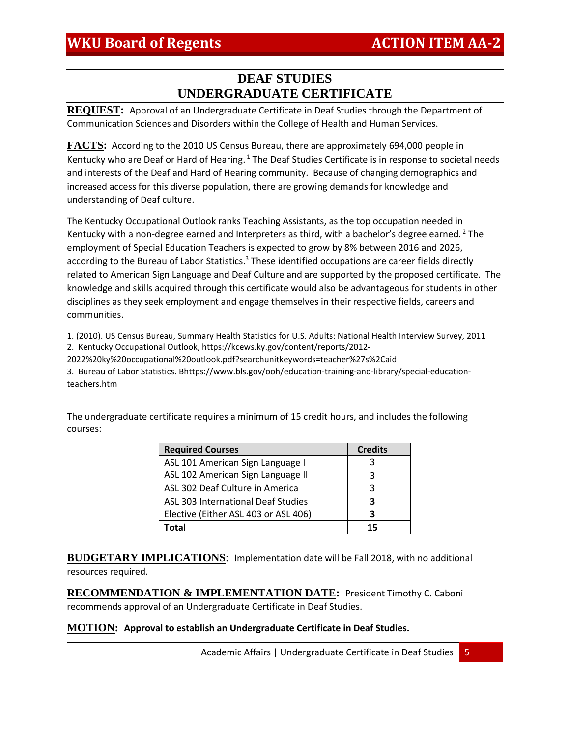# **DEAF STUDIES UNDERGRADUATE CERTIFICATE**

**REQUEST:** Approval of an Undergraduate Certificate in Deaf Studies through the Department of Communication Sciences and Disorders within the College of Health and Human Services.

**FACTS:** According to the 2010 US Census Bureau, there are approximately 694,000 people in Kentucky who are Deaf or Hard of Hearing. <sup>1</sup> The Deaf Studies Certificate is in response to societal needs and interests of the Deaf and Hard of Hearing community. Because of changing demographics and increased access for this diverse population, there are growing demands for knowledge and understanding of Deaf culture.

The Kentucky Occupational Outlook ranks Teaching Assistants, as the top occupation needed in Kentucky with a non-degree earned and Interpreters as third, with a bachelor's degree earned.<sup>2</sup> The employment of Special Education Teachers is expected to grow by 8% between 2016 and 2026, according to the Bureau of Labor Statistics.<sup>3</sup> These identified occupations are career fields directly related to American Sign Language and Deaf Culture and are supported by the proposed certificate. The knowledge and skills acquired through this certificate would also be advantageous for students in other disciplines as they seek employment and engage themselves in their respective fields, careers and communities.

1. (2010). US Census Bureau, Summary Health Statistics for U.S. Adults: National Health Interview Survey, 2011 2. Kentucky Occupational Outlook, https://kcews.ky.gov/content/reports/2012- 2022%20ky%20occupational%20outlook.pdf?searchunitkeywords=teacher%27s%2Caid

3. Bureau of Labor Statistics. Bhttps://www.bls.gov/ooh/education-training-and-library/special-educationteachers.htm

The undergraduate certificate requires a minimum of 15 credit hours, and includes the following courses:

| <b>Required Courses</b>                   | <b>Credits</b> |
|-------------------------------------------|----------------|
| ASL 101 American Sign Language I          |                |
| ASL 102 American Sign Language II         | ₹              |
| ASL 302 Deaf Culture in America           | ર              |
| <b>ASL 303 International Deaf Studies</b> |                |
| Elective (Either ASL 403 or ASL 406)      |                |
| Total                                     | 15             |

**BUDGETARY IMPLICATIONS**: Implementation date will be Fall 2018, with no additional resources required.

**RECOMMENDATION & IMPLEMENTATION DATE:** President Timothy C. Caboni recommends approval of an Undergraduate Certificate in Deaf Studies.

### **MOTION: Approval to establish an Undergraduate Certificate in Deaf Studies.**

Academic Affairs | Undergraduate Certificate in Deaf Studies 5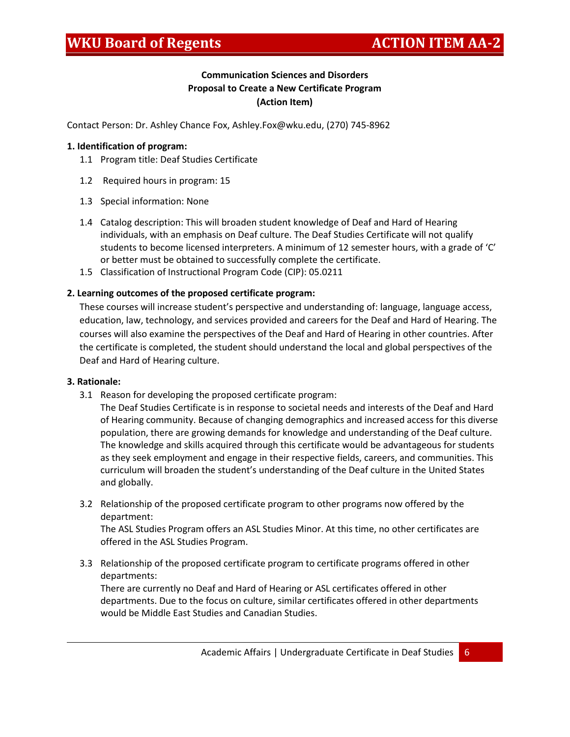# **Communication Sciences and Disorders Proposal to Create a New Certificate Program (Action Item)**

Contact Person: Dr. Ashley Chance Fox, Ashley.Fox@wku.edu, (270) 745-8962

### **1. Identification of program:**

- 1.1 Program title: Deaf Studies Certificate
- 1.2 Required hours in program: 15
- 1.3 Special information: None
- 1.4 Catalog description: This will broaden student knowledge of Deaf and Hard of Hearing individuals, with an emphasis on Deaf culture. The Deaf Studies Certificate will not qualify students to become licensed interpreters. A minimum of 12 semester hours, with a grade of 'C' or better must be obtained to successfully complete the certificate.
- 1.5 Classification of Instructional Program Code (CIP): 05.0211

### **2. Learning outcomes of the proposed certificate program:**

These courses will increase student's perspective and understanding of: language, language access, education, law, technology, and services provided and careers for the Deaf and Hard of Hearing. The courses will also examine the perspectives of the Deaf and Hard of Hearing in other countries. After the certificate is completed, the student should understand the local and global perspectives of the Deaf and Hard of Hearing culture.

#### **3. Rationale:**

3.1 Reason for developing the proposed certificate program:

The Deaf Studies Certificate is in response to societal needs and interests of the Deaf and Hard of Hearing community. Because of changing demographics and increased access for this diverse population, there are growing demands for knowledge and understanding of the Deaf culture. The knowledge and skills acquired through this certificate would be advantageous for students as they seek employment and engage in their respective fields, careers, and communities. This curriculum will broaden the student's understanding of the Deaf culture in the United States and globally.

3.2 Relationship of the proposed certificate program to other programs now offered by the department:

The ASL Studies Program offers an ASL Studies Minor. At this time, no other certificates are offered in the ASL Studies Program.

3.3 Relationship of the proposed certificate program to certificate programs offered in other departments:

There are currently no Deaf and Hard of Hearing or ASL certificates offered in other departments. Due to the focus on culture, similar certificates offered in other departments would be Middle East Studies and Canadian Studies.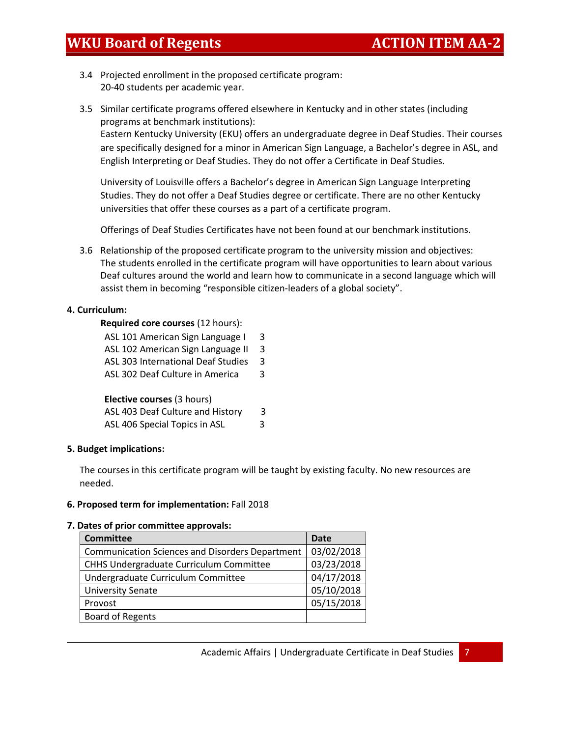- 3.4 Projected enrollment in the proposed certificate program: 20-40 students per academic year.
- 3.5 Similar certificate programs offered elsewhere in Kentucky and in other states (including programs at benchmark institutions):

Eastern Kentucky University (EKU) offers an undergraduate degree in Deaf Studies. Their courses are specifically designed for a minor in American Sign Language, a Bachelor's degree in ASL, and English Interpreting or Deaf Studies. They do not offer a Certificate in Deaf Studies.

University of Louisville offers a Bachelor's degree in American Sign Language Interpreting Studies. They do not offer a Deaf Studies degree or certificate. There are no other Kentucky universities that offer these courses as a part of a certificate program.

Offerings of Deaf Studies Certificates have not been found at our benchmark institutions.

3.6 Relationship of the proposed certificate program to the university mission and objectives: The students enrolled in the certificate program will have opportunities to learn about various Deaf cultures around the world and learn how to communicate in a second language which will assist them in becoming "responsible citizen-leaders of a global society".

### **4. Curriculum:**

### **Required core courses** (12 hours):

| ASL 101 American Sign Language I   | 3 |
|------------------------------------|---|
| ASL 102 American Sign Language II  | 3 |
| ASL 303 International Deaf Studies | 3 |
| ASL 302 Deaf Culture in America    | 3 |
|                                    |   |
| Elective courses (3 hours)         |   |
| ASL 403 Deaf Culture and History   | 3 |
| ASL 406 Special Topics in ASL      | 3 |

### **5. Budget implications:**

The courses in this certificate program will be taught by existing faculty. No new resources are needed.

### **6. Proposed term for implementation:** Fall 2018

#### **7. Dates of prior committee approvals:**

| <b>Committee</b>                                       | <b>Date</b> |
|--------------------------------------------------------|-------------|
| <b>Communication Sciences and Disorders Department</b> | 03/02/2018  |
| CHHS Undergraduate Curriculum Committee                | 03/23/2018  |
| Undergraduate Curriculum Committee                     | 04/17/2018  |
| <b>University Senate</b>                               | 05/10/2018  |
| Provost                                                | 05/15/2018  |
| <b>Board of Regents</b>                                |             |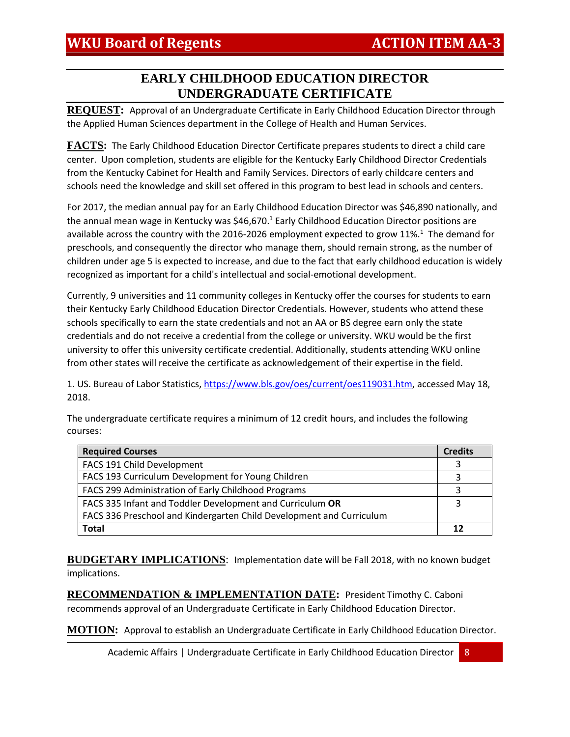# **EARLY CHILDHOOD EDUCATION DIRECTOR UNDERGRADUATE CERTIFICATE**

**REQUEST:** Approval of an Undergraduate Certificate in Early Childhood Education Director through the Applied Human Sciences department in the College of Health and Human Services.

**FACTS:** The Early Childhood Education Director Certificate prepares students to direct a child care center. Upon completion, students are eligible for the Kentucky Early Childhood Director Credentials from the Kentucky Cabinet for Health and Family Services. Directors of early childcare centers and schools need the knowledge and skill set offered in this program to best lead in schools and centers.

For 2017, the median annual pay for an Early Childhood Education Director was \$46,890 nationally, and the annual mean wage in Kentucky was \$46,670.<sup>1</sup> Early Childhood Education Director positions are available across the country with the 2016-2026 employment expected to grow 11%.<sup>1</sup> The demand for preschools, and consequently the director who manage them, should remain strong, as the number of children under age 5 is expected to increase, and due to the fact that early childhood education is widely recognized as important for a child's intellectual and social-emotional development.

Currently, 9 universities and 11 community colleges in Kentucky offer the courses for students to earn their Kentucky Early Childhood Education Director Credentials. However, students who attend these schools specifically to earn the state credentials and not an AA or BS degree earn only the state credentials and do not receive a credential from the college or university. WKU would be the first university to offer this university certificate credential. Additionally, students attending WKU online from other states will receive the certificate as acknowledgement of their expertise in the field.

1. US. Bureau of Labor Statistics, [https://www.bls.gov/oes/current/oes119031.htm,](https://www.bls.gov/oes/current/oes119031.htm) accessed May 18, 2018.

| <b>Required Courses</b>                                              | <b>Credits</b> |
|----------------------------------------------------------------------|----------------|
| FACS 191 Child Development                                           |                |
| FACS 193 Curriculum Development for Young Children                   |                |
| FACS 299 Administration of Early Childhood Programs                  |                |
| FACS 335 Infant and Toddler Development and Curriculum OR            | 3              |
| FACS 336 Preschool and Kindergarten Child Development and Curriculum |                |
| Total                                                                |                |

The undergraduate certificate requires a minimum of 12 credit hours, and includes the following courses:

**BUDGETARY IMPLICATIONS**: Implementation date will be Fall 2018, with no known budget implications.

**RECOMMENDATION & IMPLEMENTATION DATE:** President Timothy C. Caboni recommends approval of an Undergraduate Certificate in Early Childhood Education Director.

**MOTION:** Approval to establish an Undergraduate Certificate in Early Childhood Education Director.

Academic Affairs | Undergraduate Certificate in Early Childhood Education Director 8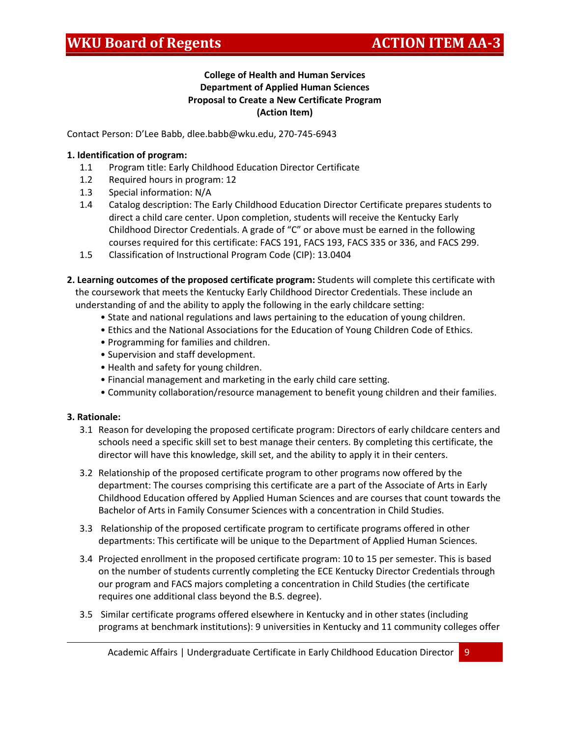## **College of Health and Human Services Department of Applied Human Sciences Proposal to Create a New Certificate Program (Action Item)**

Contact Person: D'Lee Babb, dlee.babb@wku.edu, 270-745-6943

### **1. Identification of program:**

- 1.1 Program title: Early Childhood Education Director Certificate
- 1.2 Required hours in program: 12
- 1.3 Special information: N/A
- 1.4 Catalog description: The Early Childhood Education Director Certificate prepares students to direct a child care center. Upon completion, students will receive the Kentucky Early Childhood Director Credentials. A grade of "C" or above must be earned in the following courses required for this certificate: FACS 191, FACS 193, FACS 335 or 336, and FACS 299.
- 1.5 Classification of Instructional Program Code (CIP): 13.0404
- **2. Learning outcomes of the proposed certificate program:** Students will complete this certificate with the coursework that meets the Kentucky Early Childhood Director Credentials. These include an understanding of and the ability to apply the following in the early childcare setting:
	- State and national regulations and laws pertaining to the education of young children.
	- Ethics and the National Associations for the Education of Young Children Code of Ethics.
	- Programming for families and children.
	- Supervision and staff development.
	- Health and safety for young children.
	- Financial management and marketing in the early child care setting.
	- Community collaboration/resource management to benefit young children and their families.

### **3. Rationale:**

- 3.1 Reason for developing the proposed certificate program: Directors of early childcare centers and schools need a specific skill set to best manage their centers. By completing this certificate, the director will have this knowledge, skill set, and the ability to apply it in their centers.
- 3.2 Relationship of the proposed certificate program to other programs now offered by the department: The courses comprising this certificate are a part of the Associate of Arts in Early Childhood Education offered by Applied Human Sciences and are courses that count towards the Bachelor of Arts in Family Consumer Sciences with a concentration in Child Studies.
- 3.3 Relationship of the proposed certificate program to certificate programs offered in other departments: This certificate will be unique to the Department of Applied Human Sciences.
- 3.4 Projected enrollment in the proposed certificate program: 10 to 15 per semester. This is based on the number of students currently completing the ECE Kentucky Director Credentials through our program and FACS majors completing a concentration in Child Studies (the certificate requires one additional class beyond the B.S. degree).
- 3.5 Similar certificate programs offered elsewhere in Kentucky and in other states (including programs at benchmark institutions): 9 universities in Kentucky and 11 community colleges offer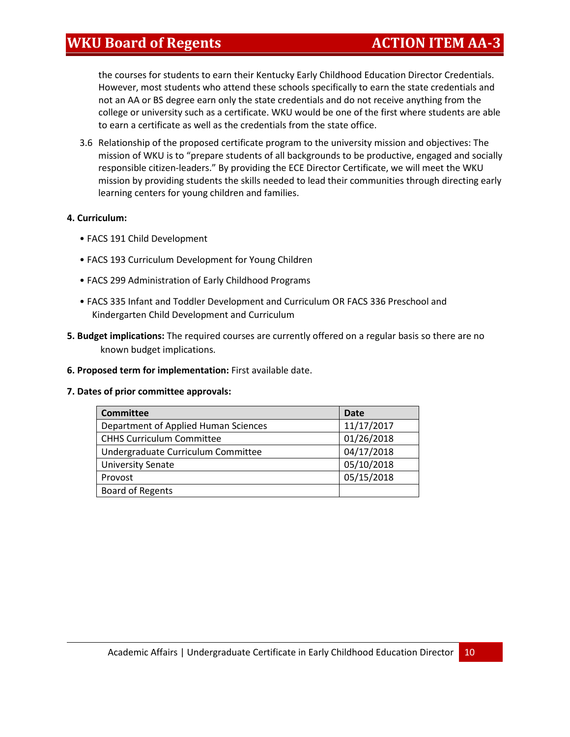the courses for students to earn their Kentucky Early Childhood Education Director Credentials. However, most students who attend these schools specifically to earn the state credentials and not an AA or BS degree earn only the state credentials and do not receive anything from the college or university such as a certificate. WKU would be one of the first where students are able to earn a certificate as well as the credentials from the state office.

3.6 Relationship of the proposed certificate program to the university mission and objectives: The mission of WKU is to "prepare students of all backgrounds to be productive, engaged and socially responsible citizen-leaders." By providing the ECE Director Certificate, we will meet the WKU mission by providing students the skills needed to lead their communities through directing early learning centers for young children and families.

### **4. Curriculum:**

- FACS 191 Child Development
- FACS 193 Curriculum Development for Young Children
- FACS 299 Administration of Early Childhood Programs
- FACS 335 Infant and Toddler Development and Curriculum OR FACS 336 Preschool and Kindergarten Child Development and Curriculum
- **5. Budget implications:** The required courses are currently offered on a regular basis so there are no known budget implications.
- **6. Proposed term for implementation:** First available date.

#### **7. Dates of prior committee approvals:**

| <b>Committee</b>                     | <b>Date</b> |
|--------------------------------------|-------------|
| Department of Applied Human Sciences | 11/17/2017  |
| <b>CHHS Curriculum Committee</b>     | 01/26/2018  |
| Undergraduate Curriculum Committee   | 04/17/2018  |
| <b>University Senate</b>             | 05/10/2018  |
| Provost                              | 05/15/2018  |
| <b>Board of Regents</b>              |             |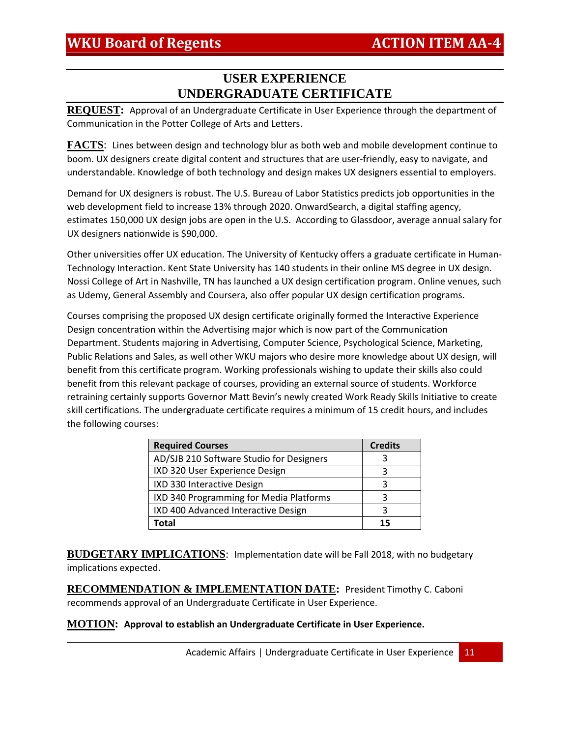# **USER EXPERIENCE UNDERGRADUATE CERTIFICATE**

**REQUEST:** Approval of an Undergraduate Certificate in User Experience through the department of Communication in the Potter College of Arts and Letters.

**FACTS**: Lines between design and technology blur as both web and mobile development continue to boom. UX designers create digital content and structures that are user-friendly, easy to navigate, and understandable. Knowledge of both technology and design makes UX designers essential to employers.

Demand for UX designers is robust. The U.S. Bureau of Labor Statistics predicts job opportunities in the web development field to increase 13% through 2020. OnwardSearch, a digital staffing agency, estimates 150,000 UX design jobs are open in the U.S. According to Glassdoor, average annual salary for UX designers nationwide is \$90,000.

Other universities offer UX education. The University of Kentucky offers a graduate certificate in Human-Technology Interaction. Kent State University has 140 students in their online MS degree in UX design. Nossi College of Art in Nashville, TN has launched a UX design certification program. Online venues, such as Udemy, General Assembly and Coursera, also offer popular UX design certification programs.

Courses comprising the proposed UX design certificate originally formed the Interactive Experience Design concentration within the Advertising major which is now part of the Communication Department. Students majoring in Advertising, Computer Science, Psychological Science, Marketing, Public Relations and Sales, as well other WKU majors who desire more knowledge about UX design, will benefit from this certificate program. Working professionals wishing to update their skills also could benefit from this relevant package of courses, providing an external source of students. Workforce retraining certainly supports Governor Matt Bevin's newly created Work Ready Skills Initiative to create skill certifications. The undergraduate certificate requires a minimum of 15 credit hours, and includes the following courses:

| <b>Required Courses</b>                  | <b>Credits</b> |
|------------------------------------------|----------------|
| AD/SJB 210 Software Studio for Designers |                |
| IXD 320 User Experience Design           |                |
| IXD 330 Interactive Design               |                |
| IXD 340 Programming for Media Platforms  |                |
| IXD 400 Advanced Interactive Design      |                |
| Total                                    | 15             |

**BUDGETARY IMPLICATIONS**: Implementation date will be Fall 2018, with no budgetary implications expected.

**RECOMMENDATION & IMPLEMENTATION DATE:** President Timothy C. Caboni recommends approval of an Undergraduate Certificate in User Experience.

**MOTION: Approval to establish an Undergraduate Certificate in User Experience.**

Academic Affairs | Undergraduate Certificate in User Experience | 11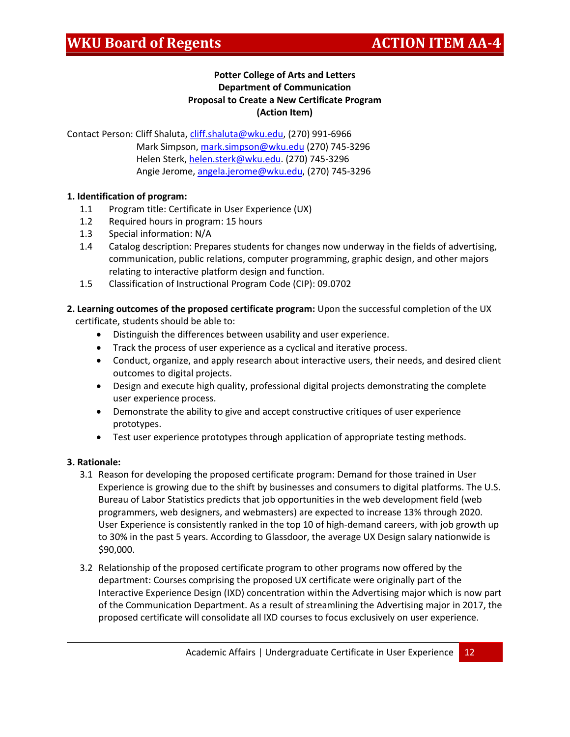## **Potter College of Arts and Letters Department of Communication Proposal to Create a New Certificate Program (Action Item)**

Contact Person: Cliff Shaluta, [cliff.shaluta@wku.edu,](mailto:cliff.shaluta@wku.edu) (270) 991-6966 Mark Simpson[, mark.simpson@wku.edu](mailto:mark.simpson@wku.edu) (270) 745-3296 Helen Sterk, [helen.sterk@wku.edu.](mailto:helen.sterk@wku.edu) (270) 745-3296 Angie Jerome, [angela.jerome@wku.edu,](mailto:angela.jerome@wku.edu) (270) 745-3296

## **1. Identification of program:**

- 1.1 Program title: Certificate in User Experience (UX)
- 1.2 Required hours in program: 15 hours
- 1.3 Special information: N/A
- 1.4 Catalog description: Prepares students for changes now underway in the fields of advertising, communication, public relations, computer programming, graphic design, and other majors relating to interactive platform design and function.
- 1.5 Classification of Instructional Program Code (CIP): 09.0702

**2. Learning outcomes of the proposed certificate program:** Upon the successful completion of the UX certificate, students should be able to:

- Distinguish the differences between usability and user experience.
- Track the process of user experience as a cyclical and iterative process.
- Conduct, organize, and apply research about interactive users, their needs, and desired client outcomes to digital projects.
- Design and execute high quality, professional digital projects demonstrating the complete user experience process.
- Demonstrate the ability to give and accept constructive critiques of user experience prototypes.
- Test user experience prototypes through application of appropriate testing methods.

### **3. Rationale:**

- 3.1 Reason for developing the proposed certificate program: Demand for those trained in User Experience is growing due to the shift by businesses and consumers to digital platforms. The U.S. Bureau of Labor Statistics predicts that job opportunities in the web development field (web programmers, web designers, and webmasters) are expected to increase 13% through 2020. User Experience is consistently ranked in the top 10 of high-demand careers, with job growth up to 30% in the past 5 years. According to Glassdoor, the average UX Design salary nationwide is \$90,000.
- 3.2 Relationship of the proposed certificate program to other programs now offered by the department: Courses comprising the proposed UX certificate were originally part of the Interactive Experience Design (IXD) concentration within the Advertising major which is now part of the Communication Department. As a result of streamlining the Advertising major in 2017, the proposed certificate will consolidate all IXD courses to focus exclusively on user experience.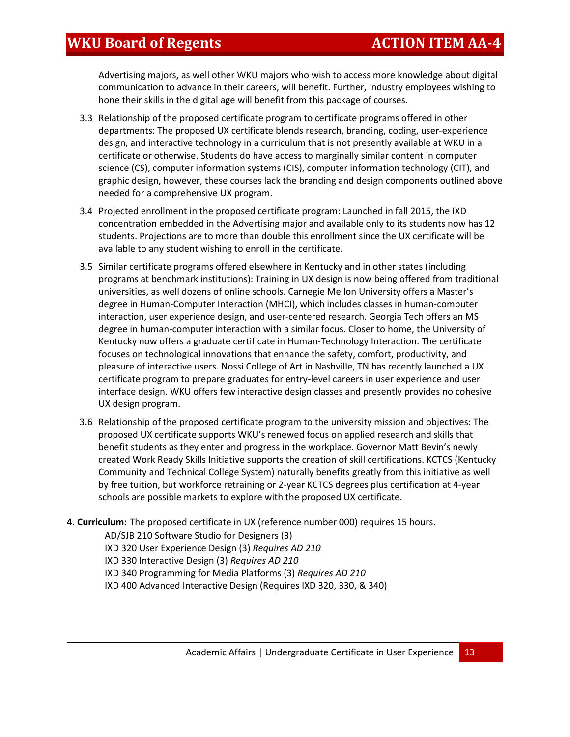Advertising majors, as well other WKU majors who wish to access more knowledge about digital communication to advance in their careers, will benefit. Further, industry employees wishing to hone their skills in the digital age will benefit from this package of courses.

- 3.3 Relationship of the proposed certificate program to certificate programs offered in other departments: The proposed UX certificate blends research, branding, coding, user-experience design, and interactive technology in a curriculum that is not presently available at WKU in a certificate or otherwise. Students do have access to marginally similar content in computer science (CS), computer information systems (CIS), computer information technology (CIT), and graphic design, however, these courses lack the branding and design components outlined above needed for a comprehensive UX program.
- 3.4 Projected enrollment in the proposed certificate program: Launched in fall 2015, the IXD concentration embedded in the Advertising major and available only to its students now has 12 students. Projections are to more than double this enrollment since the UX certificate will be available to any student wishing to enroll in the certificate.
- 3.5 Similar certificate programs offered elsewhere in Kentucky and in other states (including programs at benchmark institutions): Training in UX design is now being offered from traditional universities, as well dozens of online schools. Carnegie Mellon University offers a Master's degree in Human-Computer Interaction (MHCI), which includes classes in human-computer interaction, user experience design, and user-centered research. Georgia Tech offers an MS degree in human-computer interaction with a similar focus. Closer to home, the University of Kentucky now offers a graduate certificate in Human-Technology Interaction. The certificate focuses on technological innovations that enhance the safety, comfort, productivity, and pleasure of interactive users. Nossi College of Art in Nashville, TN has recently launched a UX certificate program to prepare graduates for entry-level careers in user experience and user interface design. WKU offers few interactive design classes and presently provides no cohesive UX design program.
- 3.6 Relationship of the proposed certificate program to the university mission and objectives: The proposed UX certificate supports WKU's renewed focus on applied research and skills that benefit students as they enter and progress in the workplace. Governor Matt Bevin's newly created Work Ready Skills Initiative supports the creation of skill certifications. KCTCS (Kentucky Community and Technical College System) naturally benefits greatly from this initiative as well by free tuition, but workforce retraining or 2-year KCTCS degrees plus certification at 4-year schools are possible markets to explore with the proposed UX certificate.
- **4. Curriculum:** The proposed certificate in UX (reference number 000) requires 15 hours.

AD/SJB 210 Software Studio for Designers (3)

IXD 320 User Experience Design (3) *Requires AD 210*

IXD 330 Interactive Design (3) *Requires AD 210*

IXD 340 Programming for Media Platforms (3) *Requires AD 210*

IXD 400 Advanced Interactive Design (Requires IXD 320, 330, & 340)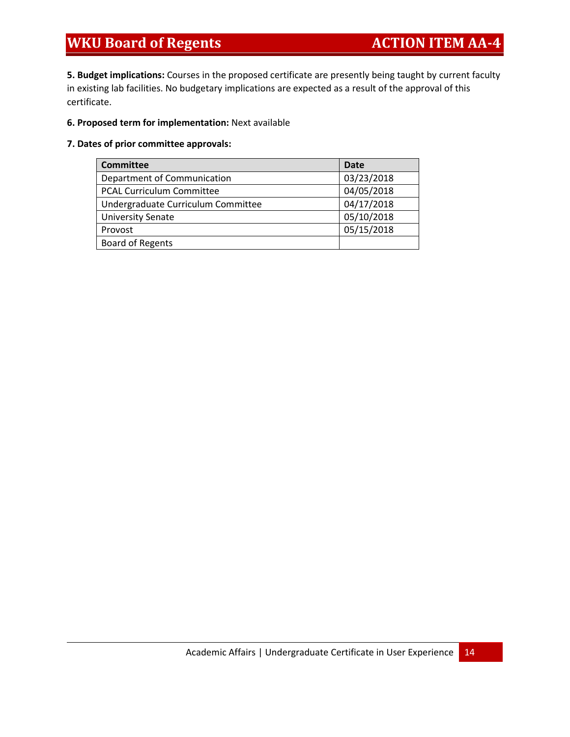# **WKU Board of Regents ACTION ITEM AA-4**

**5. Budget implications:** Courses in the proposed certificate are presently being taught by current faculty in existing lab facilities. No budgetary implications are expected as a result of the approval of this certificate.

### **6. Proposed term for implementation:** Next available

### **7. Dates of prior committee approvals:**

| <b>Committee</b>                   | <b>Date</b> |
|------------------------------------|-------------|
| Department of Communication        | 03/23/2018  |
| <b>PCAL Curriculum Committee</b>   | 04/05/2018  |
| Undergraduate Curriculum Committee | 04/17/2018  |
| <b>University Senate</b>           | 05/10/2018  |
| Provost                            | 05/15/2018  |
| Board of Regents                   |             |